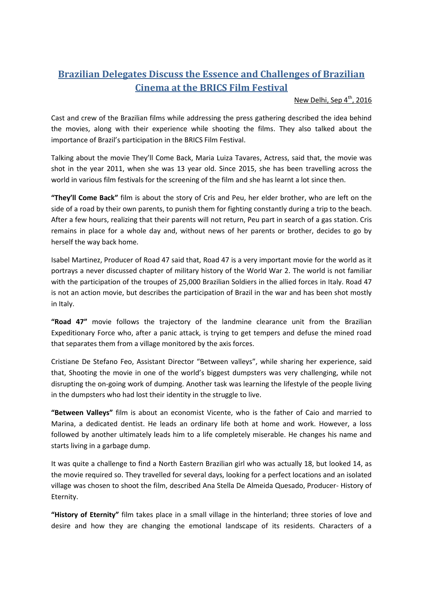## **Brazilian Delegates Discuss the Essence and Challenges of Brazilian Cinema at the BRICS Film Festival**

## New Delhi, Sep  $4^{\text{th}}$ , 2016

Cast and crew of the Brazilian films while addressing the press gathering described the idea behind the movies, along with their experience while shooting the films. They also talked about the importance of Brazil's participation in the BRICS Film Festival.

Talking about the movie They'll Come Back, Maria Luiza Tavares, Actress, said that, the movie was shot in the year 2011, when she was 13 year old. Since 2015, she has been travelling across the world in various film festivals for the screening of the film and she has learnt a lot since then.

**"They'll Come Back"** film is about the story of Cris and Peu, her elder brother, who are left on the side of a road by their own parents, to punish them for fighting constantly during a trip to the beach. After a few hours, realizing that their parents will not return, Peu part in search of a gas station. Cris remains in place for a whole day and, without news of her parents or brother, decides to go by herself the way back home.

Isabel Martinez, Producer of Road 47 said that, Road 47 is a very important movie for the world as it portrays a never discussed chapter of military history of the World War 2. The world is not familiar with the participation of the troupes of 25,000 Brazilian Soldiers in the allied forces in Italy. Road 47 is not an action movie, but describes the participation of Brazil in the war and has been shot mostly in Italy.

**"Road 47"** movie follows the trajectory of the landmine clearance unit from the Brazilian Expeditionary Force who, after a panic attack, is trying to get tempers and defuse the mined road that separates them from a village monitored by the axis forces.

Cristiane De Stefano Feo, Assistant Director "Between valleys", while sharing her experience, said that, Shooting the movie in one of the world's biggest dumpsters was very challenging, while not disrupting the on-going work of dumping. Another task was learning the lifestyle of the people living in the dumpsters who had lost their identity in the struggle to live.

**"Between Valleys"** film is about an economist Vicente, who is the father of Caio and married to Marina, a dedicated dentist. He leads an ordinary life both at home and work. However, a loss followed by another ultimately leads him to a life completely miserable. He changes his name and starts living in a garbage dump.

It was quite a challenge to find a North Eastern Brazilian girl who was actually 18, but looked 14, as the movie required so. They travelled for several days, looking for a perfect locations and an isolated village was chosen to shoot the film, described Ana Stella De Almeida Quesado, Producer- History of Eternity.

**"History of Eternity"** film takes place in a small village in the hinterland; three stories of love and desire and how they are changing the emotional landscape of its residents. Characters of a